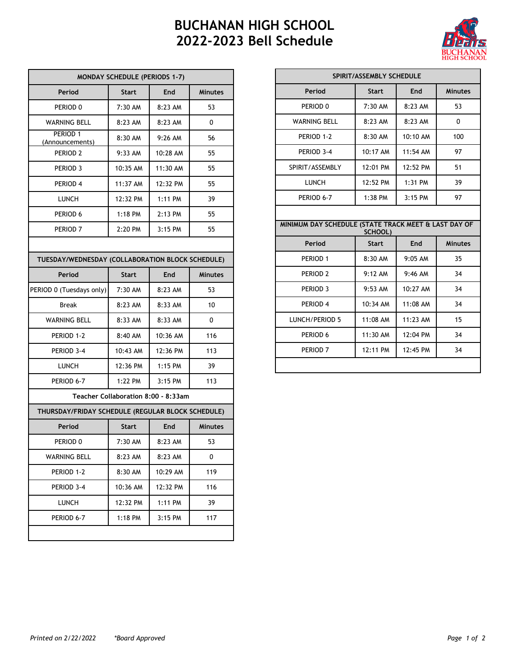## **BUCHANAN HIGH SCHOOL 2022-2023 Bell Schedule**



| <b>MONDAY SCHEDULE (PERIODS 1-7)</b>              |              |            |                |  |  |
|---------------------------------------------------|--------------|------------|----------------|--|--|
| Period                                            | <b>Start</b> | End        | <b>Minutes</b> |  |  |
| PERIOD <sub>0</sub>                               | 7:30 AM      | 8:23 AM    | 53             |  |  |
| <b>WARNING BELL</b>                               | 8:23 AM      | 8:23 AM    | 0              |  |  |
| PERIOD 1<br>(Announcements)                       | 8:30 AM      | $9:26$ AM  | 56             |  |  |
| PERIOD <sub>2</sub>                               | $9:33$ AM    | 10:28 AM   | 55             |  |  |
| PERIOD <sub>3</sub>                               | 10:35 AM     | 11:30 AM   | 55             |  |  |
| PERIOD 4                                          | 11:37 AM     | 12:32 PM   | 55             |  |  |
| LUNCH                                             | 12:32 PM     | 1:11 PM    | 39             |  |  |
| PERIOD 6                                          | $1:18$ PM    | 2:13 PM    | 55             |  |  |
| PERIOD <sub>7</sub>                               | 2:20 PM      | $3:15$ PM  | 55             |  |  |
|                                                   |              |            |                |  |  |
| TUESDAY/WEDNESDAY (COLLABORATION BLOCK SCHEDULE)  |              |            |                |  |  |
| Period                                            | <b>Start</b> | <b>End</b> | <b>Minutes</b> |  |  |
| PERIOD 0 (Tuesdays only)                          | $7:30$ AM    | 8:23 AM    | 53             |  |  |
| <b>Break</b>                                      | 8:23 AM      | 8:33 AM    | 10             |  |  |
| <b>WARNING BELL</b>                               | 8:33 AM      | 8:33 AM    | 0              |  |  |
| PERIOD 1-2                                        | 8:40 AM      | 10:36 AM   | 116            |  |  |
| PERIOD 3-4                                        | 10:43 AM     | 12:36 PM   | 113            |  |  |
| LUNCH                                             | 12:36 PM     | 1:15 PM    | 39             |  |  |
| PERIOD 6-7                                        | 1:22 PM      | 3:15 PM    | 113            |  |  |
| Teacher Collaboration 8:00 - 8:33am               |              |            |                |  |  |
| THURSDAY/FRIDAY SCHEDULE (REGULAR BLOCK SCHEDULE) |              |            |                |  |  |
| Period                                            | <b>Start</b> | <b>End</b> | <b>Minutes</b> |  |  |
| PERIOD 0                                          | 7:30 AM      | 8:23 AM    | 53             |  |  |
| WARNING BELL                                      | 8:23 AM      | 8:23 AM    | 0              |  |  |
| PERIOD 1-2                                        | 8:30 AM      | 10:29 AM   | 119            |  |  |
| PERIOD 3-4                                        | 10:36 AM     | 12:32 PM   | 116            |  |  |
| LUNCH                                             | 12:32 PM     | 1:11 PM    | 39             |  |  |
| PERIOD 6-7                                        | 1:18 PM      | 3:15 PM    | 117            |  |  |
|                                                   |              |            |                |  |  |

| SPIRIT/ASSEMBLY SCHEDULE                                           |                      |            |                |  |  |
|--------------------------------------------------------------------|----------------------|------------|----------------|--|--|
| Period                                                             | <b>Start</b>         | End        | <b>Minutes</b> |  |  |
| PERIOD 0                                                           | 7:30 AM              | 8:23 AM    | 53             |  |  |
| <b>WARNING BELL</b>                                                | 8:23 AM              | 8:23 AM    | 0              |  |  |
| PERIOD 1-2                                                         | $8:30$ AM            | 10:10 AM   | 100            |  |  |
| PERIOD 3-4                                                         | 10:17 AM             | $11:54$ AM | 97             |  |  |
| SPIRIT/ASSEMBLY                                                    | 12:01 PM             | 12:52 PM   | 51             |  |  |
| <b>LUNCH</b>                                                       | 12:52 P M            | $1:31$ PM  | 39             |  |  |
|                                                                    |                      |            |                |  |  |
| PERIOD 6-7<br>MINIMUM DAY SCHEDULE (STATE TRACK MEET & LAST DAY OF | $1:38$ PM<br>SCHOOL) | $3:15$ PM  | 97             |  |  |
| Period                                                             | <b>Start</b>         | <b>End</b> | <b>Minutes</b> |  |  |
| PERIOD 1                                                           | 8:30 AM              | $9:05$ AM  | 35             |  |  |
| PERIOD <sub>2</sub>                                                | $9:12 \text{ AM}$    | $9:46$ AM  | 34             |  |  |
| PERIOD <sub>3</sub>                                                | $9:53$ AM            | 10:27 AM   | 34             |  |  |
| PERIOD 4                                                           | 10:34 AM             | 11:08 AM   | 34             |  |  |
| LUNCH/PERIOD 5                                                     | $11:08$ AM           | $11:23$ AM | 15             |  |  |
| PERIOD 6                                                           | $11:30$ AM           | 12:04 PM   | 34             |  |  |